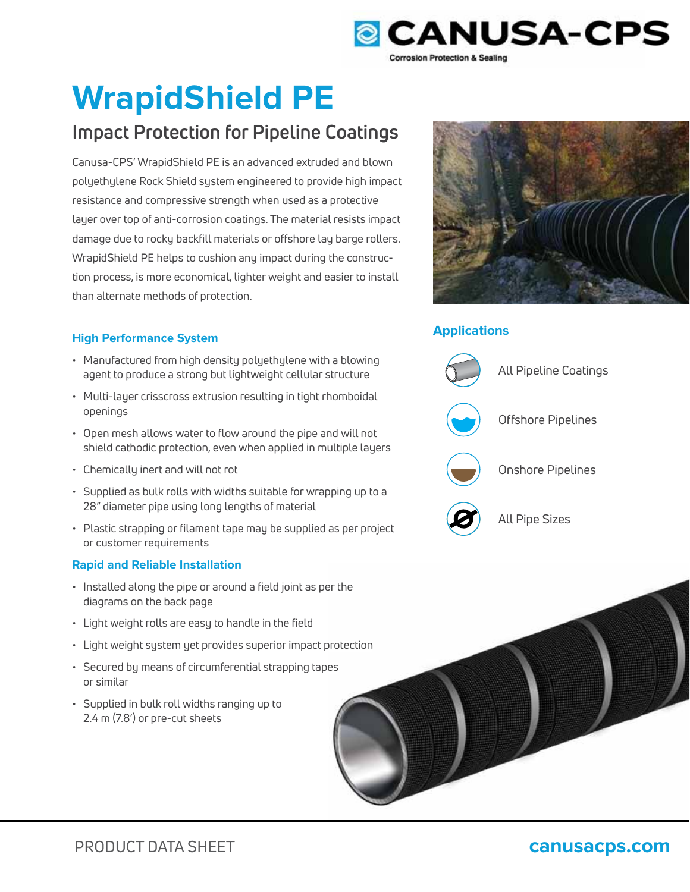

# **WrapidShield PE**

Canusa-CPS' WrapidShield PE is an advanced extruded and blown polyethylene Rock Shield system engineered to provide high impact resistance and compressive strength when used as a protective layer over top of anti-corrosion coatings. The material resists impact damage due to rocky backfill materials or offshore lay barge rollers. WrapidShield PE helps to cushion any impact during the construction process, is more economical, lighter weight and easier to install than alternate methods of protection. **Impact Protection for Pipeline Coatings**<br>
Canusa-CPS' WrapidShield PE is an advanced extruded and blown<br>
polyethylene Rock Shield system engineered to provide high impact<br>
resistance and compressive strength when used as

# **High Performance System**

- Manufactured from high density polyethylene with a blowing agent to produce a strong but lightweight cellular structure
- Multi-layer crisscross extrusion resulting in tight rhomboidal openings
- Open mesh allows water to flow around the pipe and will not shield cathodic protection, even when applied in multiple layers
- Chemically inert and will not rot
- Supplied as bulk rolls with widths suitable for wrapping up to a 28" diameter pipe using long lengths of material
- Plastic strapping or filament tape may be supplied as per project or customer requirements

# **Rapid and Reliable Installation**

- Installed along the pipe or around a field joint as per the diagrams on the back page
- Light weight rolls are easy to handle in the field
- Light weight system yet provides superior impact protection
- Secured by means of circumferential strapping tapes or similar
- Supplied in bulk roll widths ranging up to 2.4 m (7.8') or pre-cut sheets



# **Applications**